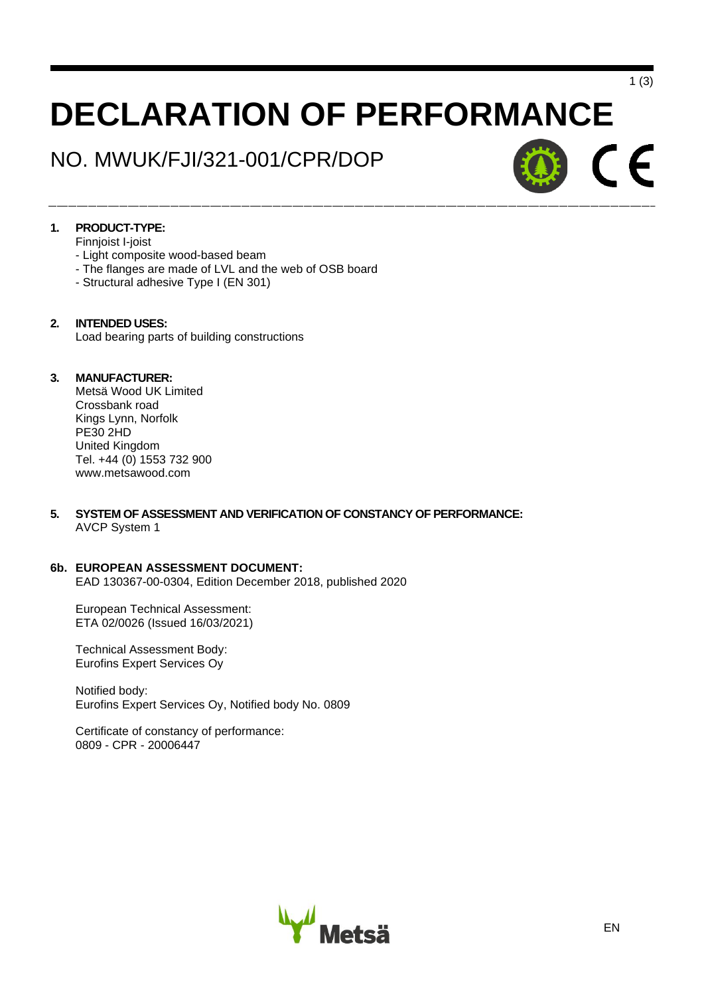# **DECLARATION OF PERFORMANCE**

# NO. MWUK/FJI/321-001/CPR/DOP



1 (3)

# **1. PRODUCT-TYPE:**

- Finnjoist I-joist
- Light composite wood-based beam
- The flanges are made of LVL and the web of OSB board
- Structural adhesive Type I (EN 301)

## **2. INTENDED USES:**

Load bearing parts of building constructions

# **3. MANUFACTURER:**

Metsä Wood UK Limited Crossbank road Kings Lynn, Norfolk PE30 2HD United Kingdom Tel. +44 (0) 1553 732 900 www.metsawood.com

## **5. SYSTEM OF ASSESSMENT AND VERIFICATION OF CONSTANCY OF PERFORMANCE:**  AVCP System 1

## **6b. EUROPEAN ASSESSMENT DOCUMENT:**

EAD 130367-00-0304, Edition December 2018, published 2020

European Technical Assessment: ETA 02/0026 (Issued 16/03/2021)

Technical Assessment Body: Eurofins Expert Services Oy

Notified body: Eurofins Expert Services Oy, Notified body No. 0809

Certificate of constancy of performance: 0809 - CPR - 20006447

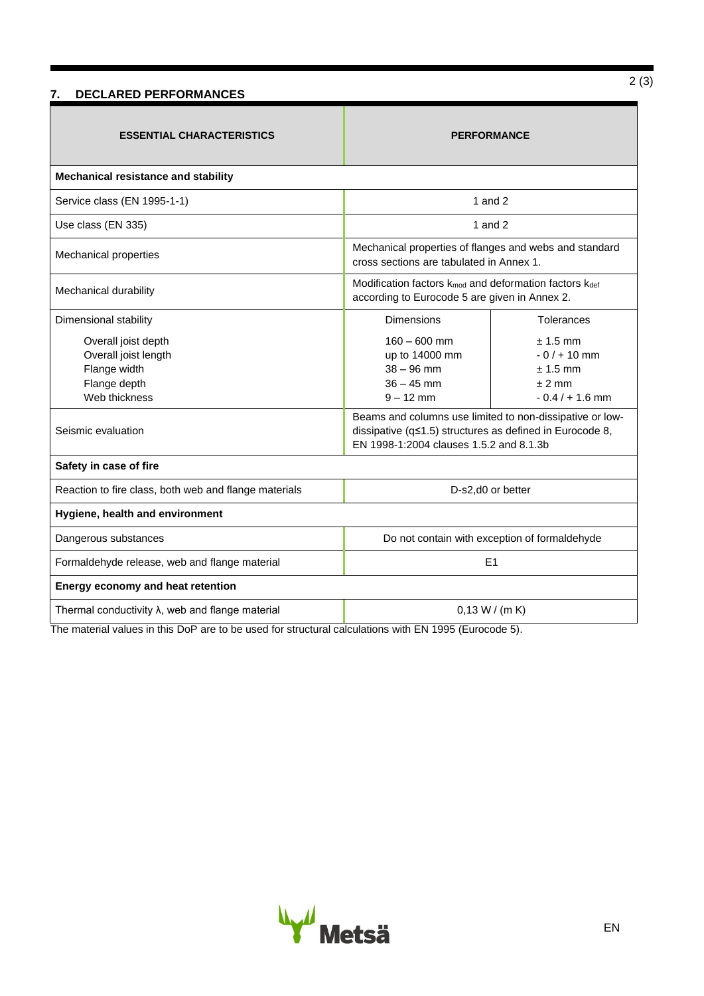# **7. DECLARED PERFORMANCES**

| <b>ESSENTIAL CHARACTERISTICS</b>                                                             | <b>PERFORMANCE</b>                                                                                                                                                       |                                                                            |  |  |  |  |  |  |  |
|----------------------------------------------------------------------------------------------|--------------------------------------------------------------------------------------------------------------------------------------------------------------------------|----------------------------------------------------------------------------|--|--|--|--|--|--|--|
| Mechanical resistance and stability                                                          |                                                                                                                                                                          |                                                                            |  |  |  |  |  |  |  |
| Service class (EN 1995-1-1)                                                                  | 1 and $2$                                                                                                                                                                |                                                                            |  |  |  |  |  |  |  |
| Use class (EN 335)                                                                           | 1 and $2$                                                                                                                                                                |                                                                            |  |  |  |  |  |  |  |
| <b>Mechanical properties</b>                                                                 | Mechanical properties of flanges and webs and standard<br>cross sections are tabulated in Annex 1.                                                                       |                                                                            |  |  |  |  |  |  |  |
| Mechanical durability                                                                        | Modification factors k <sub>mod</sub> and deformation factors k <sub>def</sub><br>according to Eurocode 5 are given in Annex 2.                                          |                                                                            |  |  |  |  |  |  |  |
| Dimensional stability                                                                        | Dimensions                                                                                                                                                               | Tolerances                                                                 |  |  |  |  |  |  |  |
| Overall joist depth<br>Overall joist length<br>Flange width<br>Flange depth<br>Web thickness | $160 - 600$ mm<br>up to 14000 mm<br>$38 - 96$ mm<br>$36 - 45$ mm<br>$9 - 12$ mm                                                                                          | $± 1.5$ mm<br>$-0/1 + 10$ mm<br>$± 1.5$ mm<br>$± 2$ mm<br>$-0.4/ + 1.6$ mm |  |  |  |  |  |  |  |
| Seismic evaluation                                                                           | Beams and columns use limited to non-dissipative or low-<br>dissipative ( $q \leq 1.5$ ) structures as defined in Eurocode 8,<br>EN 1998-1:2004 clauses 1.5.2 and 8.1.3b |                                                                            |  |  |  |  |  |  |  |
| Safety in case of fire                                                                       |                                                                                                                                                                          |                                                                            |  |  |  |  |  |  |  |
| Reaction to fire class, both web and flange materials                                        | D-s2,d0 or better                                                                                                                                                        |                                                                            |  |  |  |  |  |  |  |
| Hygiene, health and environment                                                              |                                                                                                                                                                          |                                                                            |  |  |  |  |  |  |  |
| Dangerous substances                                                                         | Do not contain with exception of formaldehyde                                                                                                                            |                                                                            |  |  |  |  |  |  |  |
| Formaldehyde release, web and flange material                                                | E1                                                                                                                                                                       |                                                                            |  |  |  |  |  |  |  |
| Energy economy and heat retention                                                            |                                                                                                                                                                          |                                                                            |  |  |  |  |  |  |  |
| Thermal conductivity $\lambda$ , web and flange material                                     | 0.13 W / (m K)                                                                                                                                                           |                                                                            |  |  |  |  |  |  |  |

The material values in this DoP are to be used for structural calculations with EN 1995 (Eurocode 5).

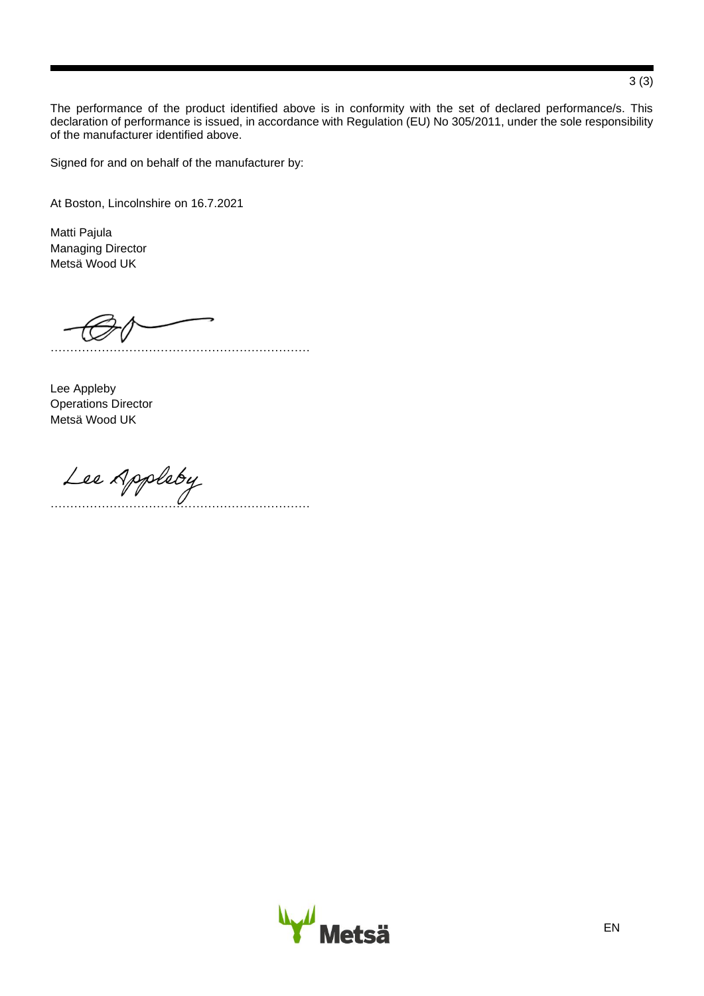The performance of the product identified above is in conformity with the set of declared performance/s. This declaration of performance is issued, in accordance with Regulation (EU) No 305/2011, under the sole responsibility of the manufacturer identified above.

Signed for and on behalf of the manufacturer by:

At Boston, Lincolnshire on 16.7.2021

Matti Pajula Managing Director Metsä Wood UK

…………………………………………………………

Lee Appleby Operations Director Metsä Wood UK

…………………………………………………………



# 3 (3)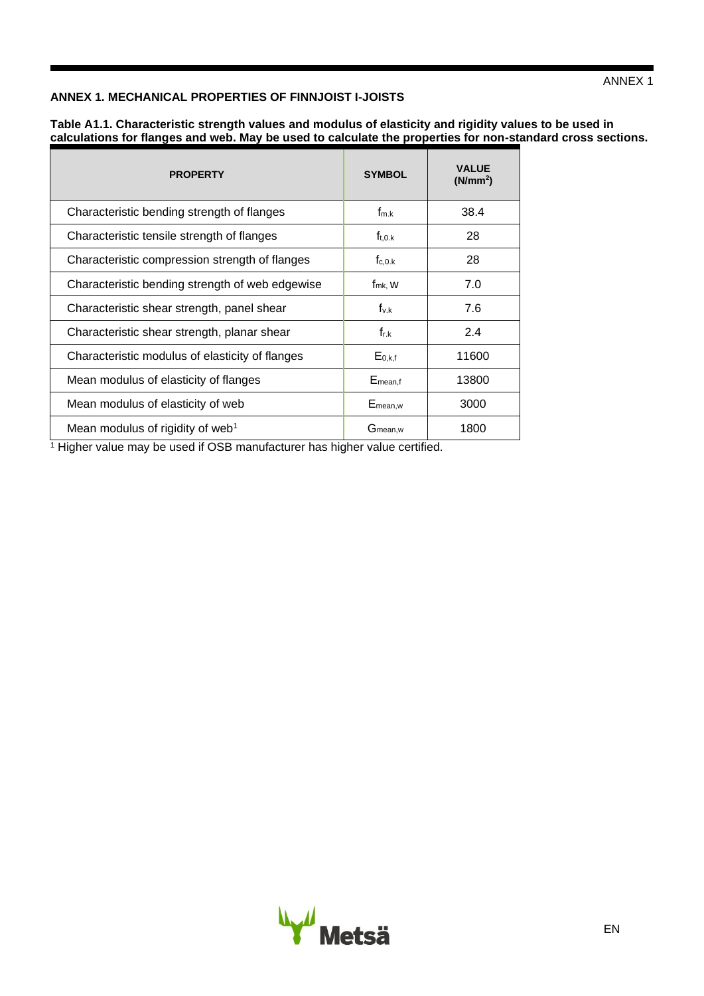# **ANNEX 1. MECHANICAL PROPERTIES OF FINNJOIST I-JOISTS**

| Table A1.1. Characteristic strength values and modulus of elasticity and rigidity values to be used in     |
|------------------------------------------------------------------------------------------------------------|
| calculations for flanges and web. May be used to calculate the properties for non-standard cross sections. |

| <b>PROPERTY</b>                                 | <b>SYMBOL</b>         | <b>VALUE</b><br>(N/mm <sup>2</sup> ) |
|-------------------------------------------------|-----------------------|--------------------------------------|
| Characteristic bending strength of flanges      | $f_{m.k}$             | 38.4                                 |
| Characteristic tensile strength of flanges      | $f_{t.0,k}$           | 28                                   |
| Characteristic compression strength of flanges  | $f_{c.0,k}$           | 28                                   |
| Characteristic bending strength of web edgewise | $f_{mk}$ , W          | 7.0                                  |
| Characteristic shear strength, panel shear      | $f_{v.k}$             | 7.6                                  |
| Characteristic shear strength, planar shear     | $f_{r,k}$             | 2.4                                  |
| Characteristic modulus of elasticity of flanges | $E_{0,k,f}$           | 11600                                |
| Mean modulus of elasticity of flanges           | $E_{mean,f}$          | 13800                                |
| Mean modulus of elasticity of web               | $E_{mean,w}$          | 3000                                 |
| Mean modulus of rigidity of web <sup>1</sup>    | $G$ <sub>mean,w</sub> | 1800                                 |

<sup>1</sup> Higher value may be used if OSB manufacturer has higher value certified.

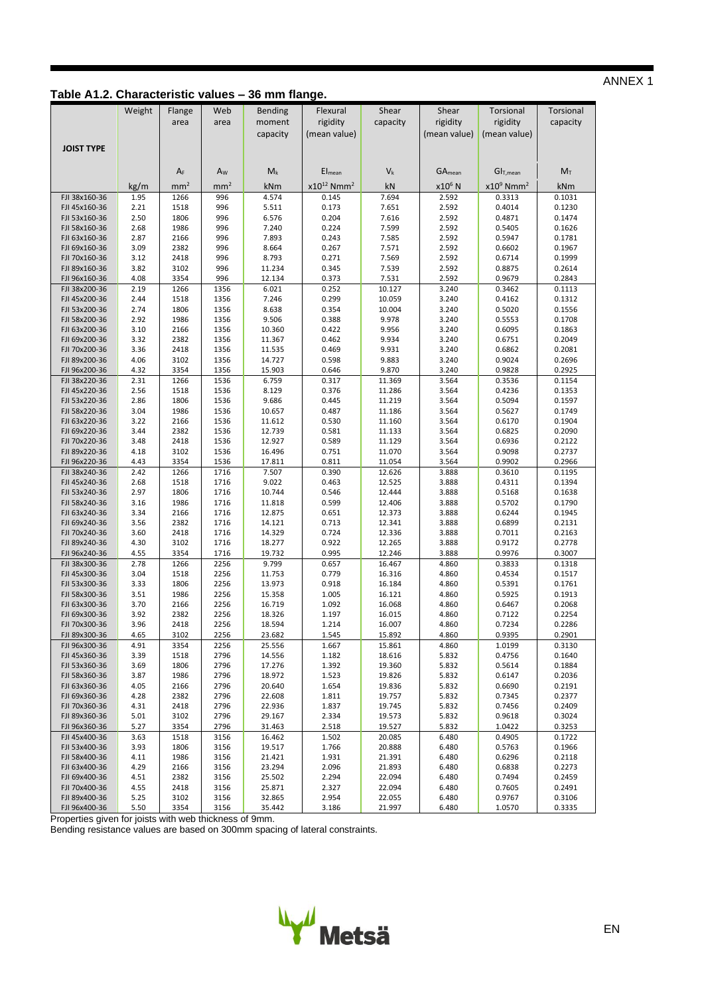# **Table A1.2. Characteristic values – 36 mm flange.**

|                                | Weight       | Flange          | Web             | Bending          | Flexural                    | Shear            | Shear                     | Torsional                | Torsional        |
|--------------------------------|--------------|-----------------|-----------------|------------------|-----------------------------|------------------|---------------------------|--------------------------|------------------|
|                                |              |                 |                 |                  | rigidity                    |                  | rigidity                  | rigidity                 |                  |
|                                |              | area            | area            | moment           |                             | capacity         |                           |                          | capacity         |
|                                |              |                 |                 | capacity         | (mean value)                |                  | (mean value)              | (mean value)             |                  |
| <b>JOIST TYPE</b>              |              |                 |                 |                  |                             |                  |                           |                          |                  |
|                                |              |                 |                 |                  |                             |                  |                           |                          |                  |
|                                |              | $A_F$           | Aw              | $M_k$            | Elmean                      | $V_{k}$          | <b>GA</b> <sub>mean</sub> | GI <sub>T,mean</sub>     | M <sub>T</sub>   |
|                                | kg/m         | mm <sup>2</sup> | mm <sup>2</sup> | kNm              | $x10^{12}$ Nmm <sup>2</sup> | kN               | x10 <sup>6</sup> N        | $x10^9$ Nmm <sup>2</sup> | kNm              |
| FJI 38x160-36                  | 1.95         | 1266            | 996             | 4.574            | 0.145                       | 7.694            | 2.592                     | 0.3313                   | 0.1031           |
| FJI 45x160-36                  | 2.21         | 1518            | 996             | 5.511            | 0.173                       | 7.651            | 2.592                     | 0.4014                   | 0.1230           |
| FJI 53x160-36                  | 2.50         | 1806            | 996             | 6.576            | 0.204                       | 7.616            | 2.592                     | 0.4871                   | 0.1474           |
| FJI 58x160-36                  | 2.68         | 1986            | 996             | 7.240            | 0.224                       | 7.599            | 2.592                     | 0.5405                   | 0.1626           |
| FJI 63x160-36                  | 2.87         | 2166            | 996             | 7.893            | 0.243                       | 7.585            | 2.592                     | 0.5947                   | 0.1781           |
| FJI 69x160-36                  | 3.09         | 2382            | 996             | 8.664            | 0.267                       | 7.571            | 2.592                     | 0.6602                   | 0.1967           |
| FJI 70x160-36                  | 3.12         | 2418            | 996             | 8.793            | 0.271                       | 7.569            | 2.592                     | 0.6714                   | 0.1999           |
| FJI 89x160-36                  | 3.82         | 3102            | 996             | 11.234           | 0.345                       | 7.539            | 2.592                     | 0.8875                   | 0.2614           |
| FJI 96x160-36                  | 4.08         | 3354            | 996             | 12.134           | 0.373                       | 7.531            | 2.592                     | 0.9679                   | 0.2843           |
| FJI 38x200-36                  | 2.19         | 1266            | 1356            | 6.021            | 0.252                       | 10.127           | 3.240                     | 0.3462                   | 0.1113           |
| FJI 45x200-36                  | 2.44         | 1518            | 1356            | 7.246            | 0.299                       | 10.059           | 3.240                     | 0.4162                   | 0.1312           |
| FJI 53x200-36                  | 2.74         | 1806            | 1356            | 8.638            | 0.354                       | 10.004           | 3.240                     | 0.5020                   | 0.1556           |
| FJI 58x200-36                  | 2.92         | 1986            | 1356            | 9.506            | 0.388                       | 9.978            | 3.240                     | 0.5553                   | 0.1708           |
| FJI 63x200-36                  | 3.10         | 2166            | 1356            | 10.360           | 0.422                       | 9.956            | 3.240                     | 0.6095                   | 0.1863           |
| FJI 69x200-36                  | 3.32         | 2382            | 1356            | 11.367           | 0.462                       | 9.934            | 3.240                     | 0.6751                   | 0.2049           |
| FJI 70x200-36                  | 3.36         | 2418            | 1356            | 11.535           | 0.469                       | 9.931            | 3.240                     | 0.6862                   | 0.2081           |
| FJI 89x200-36<br>FJI 96x200-36 | 4.06<br>4.32 | 3102<br>3354    | 1356<br>1356    | 14.727<br>15.903 | 0.598<br>0.646              | 9.883<br>9.870   | 3.240<br>3.240            | 0.9024<br>0.9828         | 0.2696<br>0.2925 |
| FJI 38x220-36                  | 2.31         | 1266            | 1536            | 6.759            | 0.317                       | 11.369           | 3.564                     | 0.3536                   | 0.1154           |
| FJI 45x220-36                  | 2.56         | 1518            | 1536            | 8.129            | 0.376                       | 11.286           | 3.564                     | 0.4236                   | 0.1353           |
| FJI 53x220-36                  | 2.86         | 1806            | 1536            | 9.686            | 0.445                       | 11.219           | 3.564                     | 0.5094                   | 0.1597           |
| FJI 58x220-36                  | 3.04         | 1986            | 1536            | 10.657           | 0.487                       | 11.186           | 3.564                     | 0.5627                   | 0.1749           |
| FJI 63x220-36                  | 3.22         | 2166            | 1536            | 11.612           | 0.530                       | 11.160           | 3.564                     | 0.6170                   | 0.1904           |
| FJI 69x220-36                  | 3.44         | 2382            | 1536            | 12.739           | 0.581                       | 11.133           | 3.564                     | 0.6825                   | 0.2090           |
| FJI 70x220-36                  | 3.48         | 2418            | 1536            | 12.927           | 0.589                       | 11.129           | 3.564                     | 0.6936                   | 0.2122           |
| FJI 89x220-36                  | 4.18         | 3102            | 1536            | 16.496           | 0.751                       | 11.070           | 3.564                     | 0.9098                   | 0.2737           |
| FJI 96x220-36                  | 4.43         | 3354            | 1536            | 17.811           | 0.811                       | 11.054           | 3.564                     | 0.9902                   | 0.2966           |
| FJI 38x240-36                  | 2.42         | 1266            | 1716            | 7.507            | 0.390                       | 12.626           | 3.888                     | 0.3610                   | 0.1195           |
| FJI 45x240-36                  | 2.68         | 1518            | 1716            | 9.022            | 0.463                       | 12.525           | 3.888                     | 0.4311                   | 0.1394           |
| FJI 53x240-36                  | 2.97         | 1806            | 1716            | 10.744           | 0.546                       | 12.444           | 3.888                     | 0.5168                   | 0.1638           |
| FJI 58x240-36                  | 3.16         | 1986            | 1716            | 11.818           | 0.599                       | 12.406           | 3.888                     | 0.5702                   | 0.1790           |
| FJI 63x240-36                  | 3.34         | 2166            | 1716            | 12.875           | 0.651                       | 12.373           | 3.888                     | 0.6244                   | 0.1945           |
| FJI 69x240-36                  | 3.56         | 2382            | 1716            | 14.121           | 0.713<br>0.724              | 12.341<br>12.336 | 3.888                     | 0.6899                   | 0.2131           |
| FJI 70x240-36<br>FJI 89x240-36 | 3.60<br>4.30 | 2418<br>3102    | 1716<br>1716    | 14.329<br>18.277 | 0.922                       | 12.265           | 3.888<br>3.888            | 0.7011<br>0.9172         | 0.2163<br>0.2778 |
| FJI 96x240-36                  | 4.55         | 3354            | 1716            | 19.732           | 0.995                       | 12.246           | 3.888                     | 0.9976                   | 0.3007           |
| FJI 38x300-36                  | 2.78         | 1266            | 2256            | 9.799            | 0.657                       | 16.467           | 4.860                     | 0.3833                   | 0.1318           |
| FJI 45x300-36                  | 3.04         | 1518            | 2256            | 11.753           | 0.779                       | 16.316           | 4.860                     | 0.4534                   | 0.1517           |
| FJI 53x300-36                  | 3.33         | 1806            | 2256            | 13.973           | 0.918                       | 16.184           | 4.860                     | 0.5391                   | 0.1761           |
| FJI 58x300-36                  | 3.51         | 1986            | 2256            | 15.358           | 1.005                       | 16.121           | 4.860                     | 0.5925                   | 0.1913           |
| FJI 63x300-36                  | 3.70         | 2166            | 2256            | 16.719           | 1.092                       | 16.068           | 4.860                     | 0.6467                   | 0.2068           |
| FJI 69x300-36                  | 3.92         | 2382            | 2256            | 18.326           | 1.197                       | 16.015           | 4.860                     | 0.7122                   | 0.2254           |
| FJI 70x300-36                  | 3.96         | 2418            | 2256            | 18.594           | 1.214                       | 16.007           | 4.860                     | 0.7234                   | 0.2286           |
| FJI 89x300-36                  | 4.65         | 3102            | 2256            | 23.682           | 1.545                       | 15.892           | 4.860                     | 0.9395                   | 0.2901           |
| FJI 96x300-36                  | 4.91         | 3354            | 2256            | 25.556           | 1.667                       | 15.861           | 4.860                     | 1.0199                   | 0.3130           |
| FJI 45x360-36                  | 3.39         | 1518            | 2796            | 14.556           | 1.182                       | 18.616           | 5.832                     | 0.4756                   | 0.1640           |
| FJI 53x360-36                  | 3.69         | 1806            | 2796            | 17.276           | 1.392                       | 19.360           | 5.832                     | 0.5614                   | 0.1884           |
| FJI 58x360-36                  | 3.87         | 1986            | 2796            | 18.972           | 1.523                       | 19.826           | 5.832                     | 0.6147                   | 0.2036           |
| FJI 63x360-36<br>FJI 69x360-36 | 4.05<br>4.28 | 2166<br>2382    | 2796<br>2796    | 20.640<br>22.608 | 1.654<br>1.811              | 19.836<br>19.757 | 5.832<br>5.832            | 0.6690<br>0.7345         | 0.2191<br>0.2377 |
| FJI 70x360-36                  | 4.31         | 2418            | 2796            | 22.936           | 1.837                       | 19.745           | 5.832                     | 0.7456                   | 0.2409           |
| FJI 89x360-36                  | 5.01         | 3102            | 2796            | 29.167           | 2.334                       | 19.573           | 5.832                     | 0.9618                   | 0.3024           |
| FJI 96x360-36                  | 5.27         | 3354            | 2796            | 31.463           | 2.518                       | 19.527           | 5.832                     | 1.0422                   | 0.3253           |
| FJI 45x400-36                  | 3.63         | 1518            | 3156            | 16.462           | 1.502                       | 20.085           | 6.480                     | 0.4905                   | 0.1722           |
| FJI 53x400-36                  | 3.93         | 1806            | 3156            | 19.517           | 1.766                       | 20.888           | 6.480                     | 0.5763                   | 0.1966           |
| FJI 58x400-36                  | 4.11         | 1986            | 3156            | 21.421           | 1.931                       | 21.391           | 6.480                     | 0.6296                   | 0.2118           |
| FJI 63x400-36                  | 4.29         | 2166            | 3156            | 23.294           | 2.096                       | 21.893           | 6.480                     | 0.6838                   | 0.2273           |
| FJI 69x400-36                  | 4.51         | 2382            | 3156            | 25.502           | 2.294                       | 22.094           | 6.480                     | 0.7494                   | 0.2459           |
| FJI 70x400-36                  | 4.55         | 2418            | 3156            | 25.871           | 2.327                       | 22.094           | 6.480                     | 0.7605                   | 0.2491           |
| FJI 89x400-36                  | 5.25         | 3102            | 3156            | 32.865           | 2.954                       | 22.055           | 6.480                     | 0.9767                   | 0.3106           |
| FJI 96x400-36                  | 5.50         | 3354            | 3156            | 35.442           | 3.186                       | 21.997           | 6.480                     | 1.0570                   | 0.3335           |

Properties given for joists with web thickness of 9mm.

Bending resistance values are based on 300mm spacing of lateral constraints.

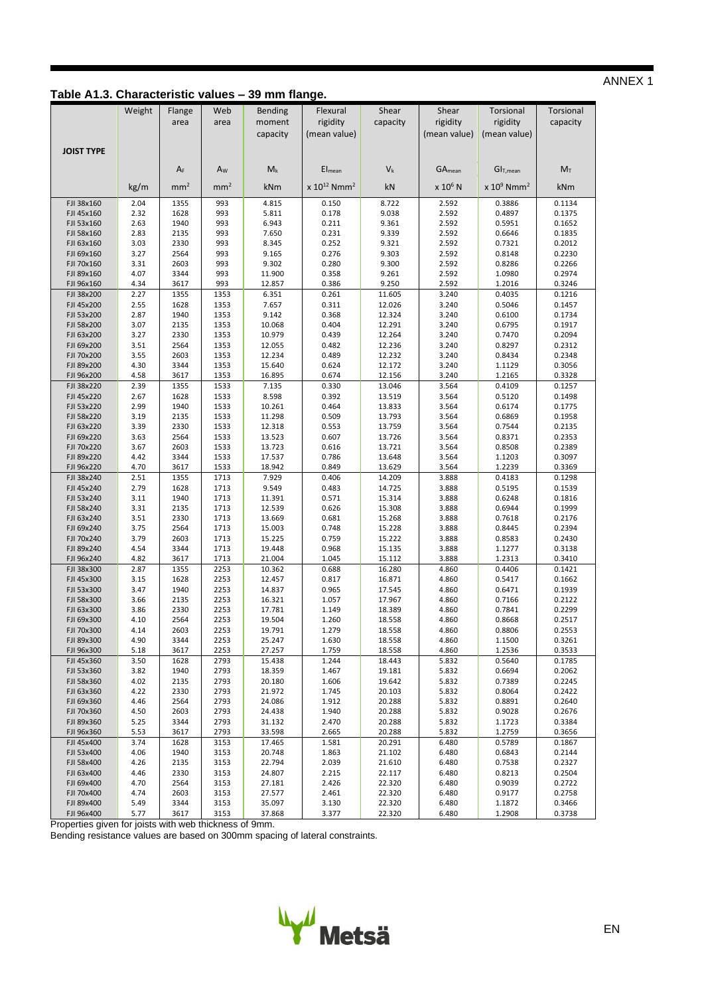# **Table A1.3. Characteristic values – 39 mm flange.**

|                          | Weight       | Flange          | Web             | <b>Bending</b>   | Flexural                     | Shear            | Shear          | Torsional                 | Torsional        |
|--------------------------|--------------|-----------------|-----------------|------------------|------------------------------|------------------|----------------|---------------------------|------------------|
|                          |              | area            | area            | moment           | rigidity                     | capacity         | rigidity       | rigidity                  | capacity         |
|                          |              |                 |                 | capacity         | (mean value)                 |                  | (mean value)   | (mean value)              |                  |
|                          |              |                 |                 |                  |                              |                  |                |                           |                  |
| <b>JOIST TYPE</b>        |              |                 |                 |                  |                              |                  |                |                           |                  |
|                          |              | $A_F$           | A <sub>w</sub>  | $M_k$            | El <sub>mean</sub>           | $V_k$            | $GA_{mean}$    | GI <sub>T,mean</sub>      | $M_T$            |
|                          |              |                 |                 |                  |                              |                  |                |                           |                  |
|                          | kg/m         | mm <sup>2</sup> | mm <sup>2</sup> | kNm              | $x 10^{12}$ Nmm <sup>2</sup> | kN               | $x 10^6$ N     | $x 10^9$ Nmm <sup>2</sup> | kNm              |
| FJI 38x160               | 2.04         | 1355            | 993             | 4.815            | 0.150                        | 8.722            | 2.592          | 0.3886                    | 0.1134           |
| FJI 45x160               | 2.32         | 1628            | 993             | 5.811            | 0.178                        | 9.038            | 2.592          | 0.4897                    | 0.1375           |
| FJI 53x160<br>FJI 58x160 | 2.63<br>2.83 | 1940<br>2135    | 993<br>993      | 6.943<br>7.650   | 0.211<br>0.231               | 9.361<br>9.339   | 2.592<br>2.592 | 0.5951<br>0.6646          | 0.1652<br>0.1835 |
| FJI 63x160               | 3.03         | 2330            | 993             | 8.345            | 0.252                        | 9.321            | 2.592          | 0.7321                    | 0.2012           |
| FJI 69x160               | 3.27         | 2564            | 993             | 9.165            | 0.276                        | 9.303            | 2.592          | 0.8148                    | 0.2230           |
| FJI 70x160               | 3.31         | 2603            | 993             | 9.302            | 0.280                        | 9.300            | 2.592          | 0.8286                    | 0.2266           |
| FJI 89x160               | 4.07         | 3344            | 993             | 11.900           | 0.358                        | 9.261            | 2.592          | 1.0980                    | 0.2974           |
| FJI 96x160               | 4.34         | 3617            | 993             | 12.857           | 0.386                        | 9.250            | 2.592          | 1.2016                    | 0.3246           |
| FJI 38x200               | 2.27         | 1355            | 1353            | 6.351            | 0.261                        | 11.605           | 3.240          | 0.4035                    | 0.1216           |
| FJI 45x200<br>FJI 53x200 | 2.55<br>2.87 | 1628<br>1940    | 1353<br>1353    | 7.657<br>9.142   | 0.311<br>0.368               | 12.026<br>12.324 | 3.240<br>3.240 | 0.5046<br>0.6100          | 0.1457<br>0.1734 |
| FJI 58x200               | 3.07         | 2135            | 1353            | 10.068           | 0.404                        | 12.291           | 3.240          | 0.6795                    | 0.1917           |
| FJI 63x200               | 3.27         | 2330            | 1353            | 10.979           | 0.439                        | 12.264           | 3.240          | 0.7470                    | 0.2094           |
| FJI 69x200               | 3.51         | 2564            | 1353            | 12.055           | 0.482                        | 12.236           | 3.240          | 0.8297                    | 0.2312           |
| FJI 70x200               | 3.55         | 2603            | 1353            | 12.234           | 0.489                        | 12.232           | 3.240          | 0.8434                    | 0.2348           |
| FJI 89x200               | 4.30         | 3344            | 1353            | 15.640           | 0.624                        | 12.172           | 3.240          | 1.1129                    | 0.3056           |
| FJI 96x200<br>FJI 38x220 | 4.58<br>2.39 | 3617<br>1355    | 1353<br>1533    | 16.895<br>7.135  | 0.674<br>0.330               | 12.156<br>13.046 | 3.240<br>3.564 | 1.2165<br>0.4109          | 0.3328<br>0.1257 |
| FJI 45x220               | 2.67         | 1628            | 1533            | 8.598            | 0.392                        | 13.519           | 3.564          | 0.5120                    | 0.1498           |
| FJI 53x220               | 2.99         | 1940            | 1533            | 10.261           | 0.464                        | 13.833           | 3.564          | 0.6174                    | 0.1775           |
| FJI 58x220               | 3.19         | 2135            | 1533            | 11.298           | 0.509                        | 13.793           | 3.564          | 0.6869                    | 0.1958           |
| FJI 63x220               | 3.39         | 2330            | 1533            | 12.318           | 0.553                        | 13.759           | 3.564          | 0.7544                    | 0.2135           |
| FJI 69x220               | 3.63         | 2564            | 1533            | 13.523           | 0.607                        | 13.726           | 3.564          | 0.8371                    | 0.2353           |
| FJI 70x220               | 3.67         | 2603            | 1533            | 13.723           | 0.616                        | 13.721           | 3.564          | 0.8508                    | 0.2389           |
| FJI 89x220<br>FJI 96x220 | 4.42<br>4.70 | 3344<br>3617    | 1533<br>1533    | 17.537<br>18.942 | 0.786<br>0.849               | 13.648<br>13.629 | 3.564<br>3.564 | 1.1203<br>1.2239          | 0.3097<br>0.3369 |
| FJI 38x240               | 2.51         | 1355            | 1713            | 7.929            | 0.406                        | 14.209           | 3.888          | 0.4183                    | 0.1298           |
| FJI 45x240               | 2.79         | 1628            | 1713            | 9.549            | 0.483                        | 14.725           | 3.888          | 0.5195                    | 0.1539           |
| FJI 53x240               | 3.11         | 1940            | 1713            | 11.391           | 0.571                        | 15.314           | 3.888          | 0.6248                    | 0.1816           |
| FJI 58x240               | 3.31         | 2135            | 1713            | 12.539           | 0.626                        | 15.308           | 3.888          | 0.6944                    | 0.1999           |
| FJI 63x240               | 3.51         | 2330            | 1713            | 13.669           | 0.681                        | 15.268           | 3.888          | 0.7618                    | 0.2176           |
| FJI 69x240<br>FJI 70x240 | 3.75<br>3.79 | 2564<br>2603    | 1713<br>1713    | 15.003<br>15.225 | 0.748<br>0.759               | 15.228<br>15.222 | 3.888<br>3.888 | 0.8445<br>0.8583          | 0.2394<br>0.2430 |
| FJI 89x240               | 4.54         | 3344            | 1713            | 19.448           | 0.968                        | 15.135           | 3.888          | 1.1277                    | 0.3138           |
| FJI 96x240               | 4.82         | 3617            | 1713            | 21.004           | 1.045                        | 15.112           | 3.888          | 1.2313                    | 0.3410           |
| FJI 38x300               | 2.87         | 1355            | 2253            | 10.362           | 0.688                        | 16.280           | 4.860          | 0.4406                    | 0.1421           |
| FJI 45x300               | 3.15         | 1628            | 2253            | 12.457           | 0.817                        | 16.871           | 4.860          | 0.5417                    | 0.1662           |
| FJI 53x300               | 3.47         | 1940            | 2253            | 14.837           | 0.965                        | 17.545           | 4.860          | 0.6471                    | 0.1939           |
| FJI 58x300               | 3.66         | 2135<br>2330    | 2253<br>2253    | 16.321<br>17.781 | 1.057                        | 17.967           | 4.860<br>4.860 | 0.7166                    | 0.2122           |
| FJI 63x300<br>FJI 69x300 | 3.86<br>4.10 | 2564            | 2253            | 19.504           | 1.149<br>1.260               | 18.389<br>18.558 | 4.860          | 0.7841<br>0.8668          | 0.2299<br>0.2517 |
| FJI 70x300               | 4.14         | 2603            | 2253            | 19.791           | 1.279                        | 18.558           | 4.860          | 0.8806                    | 0.2553           |
| FJI 89x300               | 4.90         | 3344            | 2253            | 25.247           | 1.630                        | 18.558           | 4.860          | 1.1500                    | 0.3261           |
| FJI 96x300               | 5.18         | 3617            | 2253            | 27.257           | 1.759                        | 18.558           | 4.860          | 1.2536                    | 0.3533           |
| FJI 45x360               | 3.50         | 1628            | 2793            | 15.438           | 1.244                        | 18.443           | 5.832          | 0.5640                    | 0.1785           |
| FJI 53x360               | 3.82         | 1940            | 2793            | 18.359           | 1.467                        | 19.181           | 5.832          | 0.6694                    | 0.2062           |
| FJI 58x360<br>FJI 63x360 | 4.02<br>4.22 | 2135<br>2330    | 2793<br>2793    | 20.180<br>21.972 | 1.606<br>1.745               | 19.642<br>20.103 | 5.832<br>5.832 | 0.7389<br>0.8064          | 0.2245<br>0.2422 |
| FJI 69x360               | 4.46         | 2564            | 2793            | 24.086           | 1.912                        | 20.288           | 5.832          | 0.8891                    | 0.2640           |
| FJI 70x360               | 4.50         | 2603            | 2793            | 24.438           | 1.940                        | 20.288           | 5.832          | 0.9028                    | 0.2676           |
| FJI 89x360               | 5.25         | 3344            | 2793            | 31.132           | 2.470                        | 20.288           | 5.832          | 1.1723                    | 0.3384           |
| FJI 96x360               | 5.53         | 3617            | 2793            | 33.598           | 2.665                        | 20.288           | 5.832          | 1.2759                    | 0.3656           |
| FJI 45x400               | 3.74         | 1628            | 3153            | 17.465           | 1.581                        | 20.291           | 6.480          | 0.5789                    | 0.1867           |
| FJI 53x400<br>FJI 58x400 | 4.06<br>4.26 | 1940<br>2135    | 3153<br>3153    | 20.748<br>22.794 | 1.863<br>2.039               | 21.102<br>21.610 | 6.480<br>6.480 | 0.6843<br>0.7538          | 0.2144<br>0.2327 |
| FJI 63x400               | 4.46         | 2330            | 3153            | 24.807           | 2.215                        | 22.117           | 6.480          | 0.8213                    | 0.2504           |
| FJI 69x400               | 4.70         | 2564            | 3153            | 27.181           | 2.426                        | 22.320           | 6.480          | 0.9039                    | 0.2722           |
| FJI 70x400               | 4.74         | 2603            | 3153            | 27.577           | 2.461                        | 22.320           | 6.480          | 0.9177                    | 0.2758           |
| FJI 89x400               | 5.49         | 3344            | 3153            | 35.097           | 3.130                        | 22.320           | 6.480          | 1.1872                    | 0.3466           |
| FJI 96x400               | 5.77         | 3617            | 3153            | 37.868           | 3.377                        | 22.320           | 6.480          | 1.2908                    | 0.3738           |

Properties given for joists with web thickness of 9mm.

Bending resistance values are based on 300mm spacing of lateral constraints.

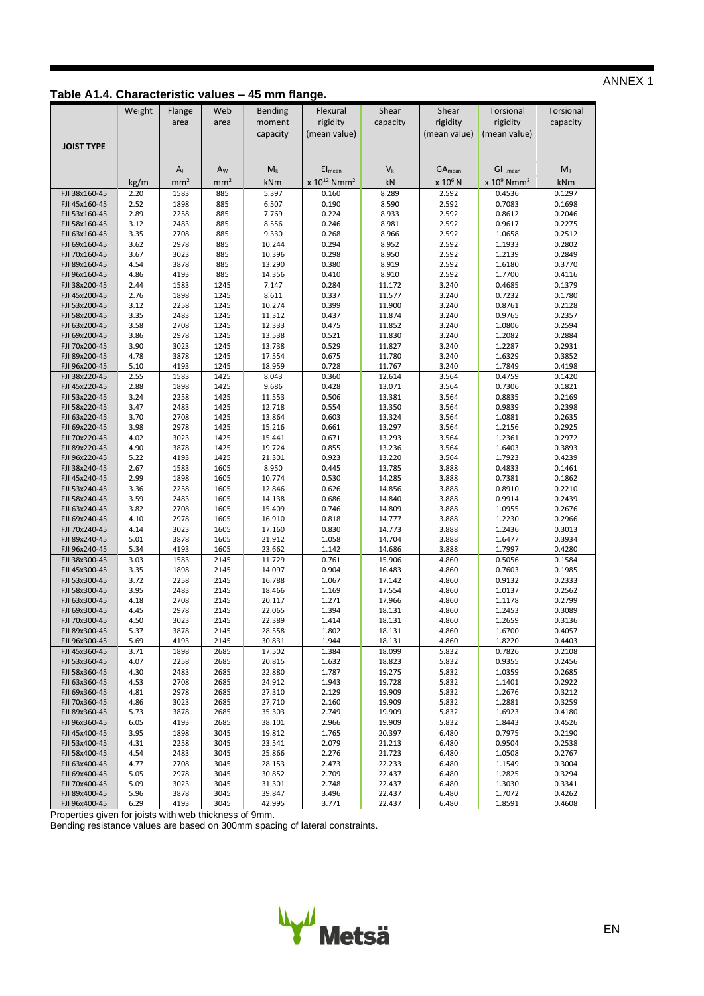# **Table A1.4. Characteristic values – 45 mm flange.**

|                                | Weight       | Flange          | Web             | Bending          | Flexural                     | Shear            | Shear               | Torsional                          | <b>Torsional</b> |
|--------------------------------|--------------|-----------------|-----------------|------------------|------------------------------|------------------|---------------------|------------------------------------|------------------|
|                                |              | area            | area            | moment           | rigidity                     | capacity         | rigidity            | rigidity                           | capacity         |
|                                |              |                 |                 |                  | (mean value)                 |                  | (mean value)        | (mean value)                       |                  |
|                                |              |                 |                 | capacity         |                              |                  |                     |                                    |                  |
| <b>JOIST TYPE</b>              |              |                 |                 |                  |                              |                  |                     |                                    |                  |
|                                |              |                 |                 |                  |                              |                  |                     |                                    |                  |
|                                |              | $A_F$           | $A_W$           | $M_k$            | $El$ <sub>mean</sub>         | $V_{k}$          | $GA_{mean}$         | GI <sub>T,mean</sub>               | $M_T$            |
|                                | kg/m         | mm <sup>2</sup> | mm <sup>2</sup> | kNm              | $x 10^{12}$ Nmm <sup>2</sup> | kN               | x 10 <sup>6</sup> N | x 10 <sup>9</sup> Nmm <sup>2</sup> | kNm              |
| FJI 38x160-45                  | 2.20         | 1583            | 885             | 5.397            | 0.160                        | 8.289            | 2.592               | 0.4536                             | 0.1297           |
| FJI 45x160-45                  | 2.52         | 1898            | 885             | 6.507            | 0.190                        | 8.590            | 2.592               | 0.7083                             | 0.1698           |
| FJI 53x160-45<br>FJI 58x160-45 | 2.89<br>3.12 | 2258<br>2483    | 885<br>885      | 7.769<br>8.556   | 0.224<br>0.246               | 8.933<br>8.981   | 2.592<br>2.592      | 0.8612<br>0.9617                   | 0.2046<br>0.2275 |
| FJI 63x160-45                  | 3.35         | 2708            | 885             | 9.330            | 0.268                        | 8.966            | 2.592               | 1.0658                             | 0.2512           |
| FJI 69x160-45                  | 3.62         | 2978            | 885             | 10.244           | 0.294                        | 8.952            | 2.592               | 1.1933                             | 0.2802           |
| FJI 70x160-45                  | 3.67         | 3023            | 885             | 10.396           | 0.298                        | 8.950            | 2.592               | 1.2139                             | 0.2849           |
| FJI 89x160-45                  | 4.54         | 3878            | 885             | 13.290           | 0.380                        | 8.919            | 2.592               | 1.6180                             | 0.3770           |
| FJI 96x160-45                  | 4.86         | 4193            | 885             | 14.356           | 0.410                        | 8.910            | 2.592               | 1.7700                             | 0.4116           |
| FJI 38x200-45                  | 2.44         | 1583            | 1245            | 7.147            | 0.284                        | 11.172           | 3.240               | 0.4685                             | 0.1379           |
| FJI 45x200-45                  | 2.76         | 1898            | 1245            | 8.611            | 0.337                        | 11.577           | 3.240               | 0.7232                             | 0.1780           |
| FJI 53x200-45                  | 3.12         | 2258            | 1245            | 10.274           | 0.399                        | 11.900           | 3.240               | 0.8761                             | 0.2128           |
| FJI 58x200-45                  | 3.35         | 2483            | 1245            | 11.312           | 0.437                        | 11.874           | 3.240               | 0.9765                             | 0.2357           |
| FJI 63x200-45                  | 3.58         | 2708            | 1245            | 12.333           | 0.475                        | 11.852           | 3.240               | 1.0806                             | 0.2594           |
| FJI 69x200-45                  | 3.86         | 2978            | 1245            | 13.538           | 0.521                        | 11.830           | 3.240               | 1.2082                             | 0.2884           |
| FJI 70x200-45<br>FJI 89x200-45 | 3.90<br>4.78 | 3023<br>3878    | 1245<br>1245    | 13.738<br>17.554 | 0.529<br>0.675               | 11.827<br>11.780 | 3.240<br>3.240      | 1.2287<br>1.6329                   | 0.2931<br>0.3852 |
| FJI 96x200-45                  | 5.10         | 4193            | 1245            | 18.959           | 0.728                        | 11.767           | 3.240               | 1.7849                             | 0.4198           |
| FJI 38x220-45                  | 2.55         | 1583            | 1425            | 8.043            | 0.360                        | 12.614           | 3.564               | 0.4759                             | 0.1420           |
| FJI 45x220-45                  | 2.88         | 1898            | 1425            | 9.686            | 0.428                        | 13.071           | 3.564               | 0.7306                             | 0.1821           |
| FJI 53x220-45                  | 3.24         | 2258            | 1425            | 11.553           | 0.506                        | 13.381           | 3.564               | 0.8835                             | 0.2169           |
| FJI 58x220-45                  | 3.47         | 2483            | 1425            | 12.718           | 0.554                        | 13.350           | 3.564               | 0.9839                             | 0.2398           |
| FJI 63x220-45                  | 3.70         | 2708            | 1425            | 13.864           | 0.603                        | 13.324           | 3.564               | 1.0881                             | 0.2635           |
| FJI 69x220-45                  | 3.98         | 2978            | 1425            | 15.216           | 0.661                        | 13.297           | 3.564               | 1.2156                             | 0.2925           |
| FJI 70x220-45                  | 4.02         | 3023            | 1425            | 15.441           | 0.671                        | 13.293           | 3.564               | 1.2361                             | 0.2972           |
| FJI 89x220-45                  | 4.90         | 3878            | 1425            | 19.724           | 0.855                        | 13.236           | 3.564               | 1.6403                             | 0.3893           |
| FJI 96x220-45                  | 5.22         | 4193            | 1425            | 21.301           | 0.923                        | 13.220           | 3.564               | 1.7923                             | 0.4239           |
| FJI 38x240-45                  | 2.67         | 1583            | 1605            | 8.950            | 0.445                        | 13.785           | 3.888               | 0.4833                             | 0.1461           |
| FJI 45x240-45<br>FJI 53x240-45 | 2.99<br>3.36 | 1898<br>2258    | 1605<br>1605    | 10.774<br>12.846 | 0.530<br>0.626               | 14.285<br>14.856 | 3.888<br>3.888      | 0.7381<br>0.8910                   | 0.1862<br>0.2210 |
| FJI 58x240-45                  | 3.59         | 2483            | 1605            | 14.138           | 0.686                        | 14.840           | 3.888               | 0.9914                             | 0.2439           |
| FJI 63x240-45                  | 3.82         | 2708            | 1605            | 15.409           | 0.746                        | 14.809           | 3.888               | 1.0955                             | 0.2676           |
| FJI 69x240-45                  | 4.10         | 2978            | 1605            | 16.910           | 0.818                        | 14.777           | 3.888               | 1.2230                             | 0.2966           |
| FJI 70x240-45                  | 4.14         | 3023            | 1605            | 17.160           | 0.830                        | 14.773           | 3.888               | 1.2436                             | 0.3013           |
| FJI 89x240-45                  | 5.01         | 3878            | 1605            | 21.912           | 1.058                        | 14.704           | 3.888               | 1.6477                             | 0.3934           |
| FJI 96x240-45                  | 5.34         | 4193            | 1605            | 23.662           | 1.142                        | 14.686           | 3.888               | 1.7997                             | 0.4280           |
| FJI 38x300-45                  | 3.03         | 1583            | 2145            | 11.729           | 0.761                        | 15.906           | 4.860               | 0.5056                             | 0.1584           |
| FJI 45x300-45                  | 3.35         | 1898            | 2145            | 14.097           | 0.904                        | 16.483           | 4.860               | 0.7603                             | 0.1985           |
| FJI 53x300-45                  | 3.72         | 2258            | 2145            | 16.788           | 1.067                        | 17.142           | 4.860               | 0.9132                             | 0.2333           |
| FJI 58x300-45                  | 3.95         | 2483            | 2145            | 18.466           | 1.169                        | 17.554           | 4.860               | 1.0137                             | 0.2562           |
| FJI 63x300-45                  | 4.18         | 2708<br>2978    | 2145            | 20.117           | 1.271                        | 17.966           | 4.860               | 1.1178                             | 0.2799           |
| FJI 69x300-45<br>FJI 70x300-45 | 4.45<br>4.50 | 3023            | 2145<br>2145    | 22.065<br>22.389 | 1.394<br>1.414               | 18.131<br>18.131 | 4.860<br>4.860      | 1.2453<br>1.2659                   | 0.3089<br>0.3136 |
| FJI 89x300-45                  | 5.37         | 3878            | 2145            | 28.558           | 1.802                        | 18.131           | 4.860               | 1.6700                             | 0.4057           |
| FJI 96x300-45                  | 5.69         | 4193            | 2145            | 30.831           | 1.944                        | 18.131           | 4.860               | 1.8220                             | 0.4403           |
| FJI 45x360-45                  | 3.71         | 1898            | 2685            | 17.502           | 1.384                        | 18.099           | 5.832               | 0.7826                             | 0.2108           |
| FJI 53x360-45                  | 4.07         | 2258            | 2685            | 20.815           | 1.632                        | 18.823           | 5.832               | 0.9355                             | 0.2456           |
| FJI 58x360-45                  | 4.30         | 2483            | 2685            | 22.880           | 1.787                        | 19.275           | 5.832               | 1.0359                             | 0.2685           |
| FJI 63x360-45                  | 4.53         | 2708            | 2685            | 24.912           | 1.943                        | 19.728           | 5.832               | 1.1401                             | 0.2922           |
| FJI 69x360-45                  | 4.81         | 2978            | 2685            | 27.310           | 2.129                        | 19.909           | 5.832               | 1.2676                             | 0.3212           |
| FJI 70x360-45                  | 4.86         | 3023            | 2685            | 27.710           | 2.160                        | 19.909           | 5.832               | 1.2881                             | 0.3259           |
| FJI 89x360-45                  | 5.73         | 3878            | 2685            | 35.303           | 2.749                        | 19.909           | 5.832               | 1.6923                             | 0.4180           |
| FJI 96x360-45                  | 6.05         | 4193            | 2685            | 38.101           | 2.966                        | 19.909           | 5.832               | 1.8443                             | 0.4526           |
| FJI 45x400-45<br>FJI 53x400-45 | 3.95         | 1898            | 3045            | 19.812           | 1.765                        | 20.397           | 6.480               | 0.7975<br>0.9504                   | 0.2190           |
| FJI 58x400-45                  | 4.31<br>4.54 | 2258<br>2483    | 3045<br>3045    | 23.541<br>25.866 | 2.079<br>2.276               | 21.213<br>21.723 | 6.480<br>6.480      | 1.0508                             | 0.2538<br>0.2767 |
| FJI 63x400-45                  | 4.77         | 2708            | 3045            | 28.153           | 2.473                        | 22.233           | 6.480               | 1.1549                             | 0.3004           |
| FJI 69x400-45                  | 5.05         | 2978            | 3045            | 30.852           | 2.709                        | 22.437           | 6.480               | 1.2825                             | 0.3294           |
| FJI 70x400-45                  | 5.09         | 3023            | 3045            | 31.301           | 2.748                        | 22.437           | 6.480               | 1.3030                             | 0.3341           |
| FJI 89x400-45                  | 5.96         | 3878            | 3045            | 39.847           | 3.496                        | 22.437           | 6.480               | 1.7072                             | 0.4262           |
| FJI 96x400-45                  | 6.29         | 4193            | 3045            | 42.995           | 3.771                        | 22.437           | 6.480               | 1.8591                             | 0.4608           |

Properties given for joists with web thickness of 9mm.

Bending resistance values are based on 300mm spacing of lateral constraints.



EN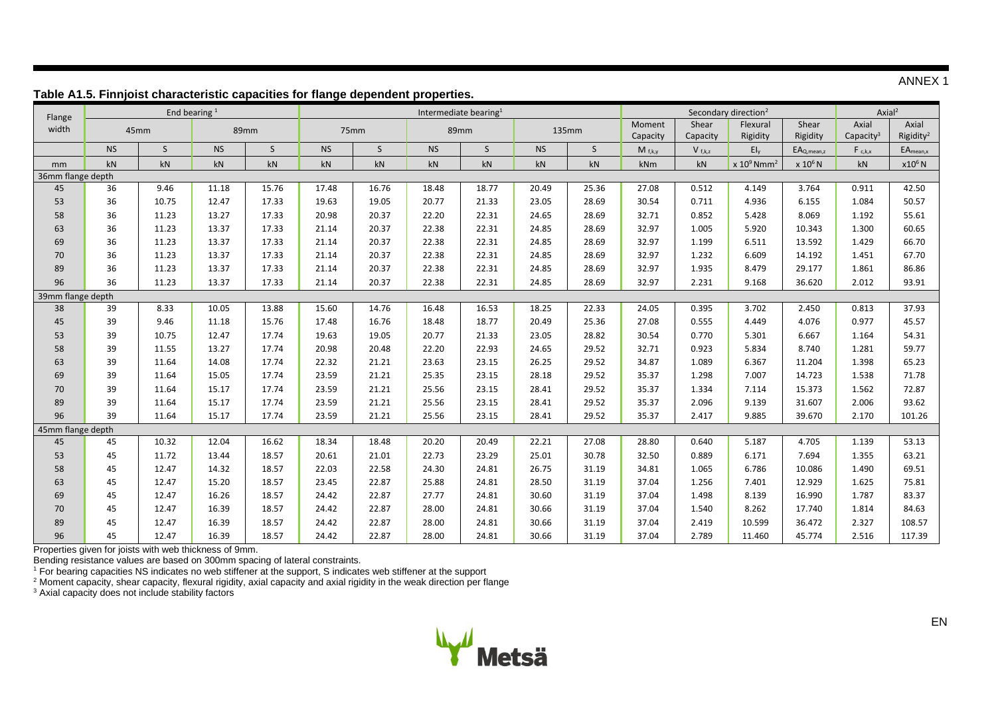ANNEX 1

| Flange            |                   |                        | End bearing $1$ |                        |           | able mile i imijolot enaracteriotic capacitico for nango acpontabili proporticol<br>Intermediate bearing <sup>1</sup> |           |              | Secondary direction <sup>2</sup> |              |                    |                        | Axial <sup>2</sup>        |                     |                                |                                |
|-------------------|-------------------|------------------------|-----------------|------------------------|-----------|-----------------------------------------------------------------------------------------------------------------------|-----------|--------------|----------------------------------|--------------|--------------------|------------------------|---------------------------|---------------------|--------------------------------|--------------------------------|
| width             |                   | 45mm                   |                 | 89mm                   |           | 75mm                                                                                                                  |           | 89mm         |                                  | 135mm        | Moment<br>Capacity | Shear<br>Capacity      | Flexural<br>Rigidity      | Shear<br>Rigidity   | Axial<br>Capacity <sup>3</sup> | Axial<br>Rigidity <sup>2</sup> |
|                   | <b>NS</b>         | S                      | <b>NS</b>       | S                      | <b>NS</b> | $\mathsf{S}$                                                                                                          | <b>NS</b> | $\mathsf{S}$ | <b>NS</b>                        | $\mathsf{S}$ | $M_{f,k,y}$        | $V_{f,k,z}$            | $E I_v$                   | $EA_{Q,mean, z}$    | $F_{c,k,x}$                    | $EA_{mean, x}$                 |
| mm                | kN                | $\mathsf{k}\mathsf{N}$ | kN              | $\mathsf{k}\mathsf{N}$ | kN        | kN                                                                                                                    | kN        | kN           | kN                               | kN           | kNm                | $\mathsf{k}\mathsf{N}$ | $x 10^9$ Nmm <sup>2</sup> | x 10 <sup>6</sup> N | kN                             | x10 <sup>6</sup> N             |
| 36mm flange depth |                   |                        |                 |                        |           |                                                                                                                       |           |              |                                  |              |                    |                        |                           |                     |                                |                                |
| 45                | 36                | 9.46                   | 11.18           | 15.76                  | 17.48     | 16.76                                                                                                                 | 18.48     | 18.77        | 20.49                            | 25.36        | 27.08              | 0.512                  | 4.149                     | 3.764               | 0.911                          | 42.50                          |
| 53                | 36                | 10.75                  | 12.47           | 17.33                  | 19.63     | 19.05                                                                                                                 | 20.77     | 21.33        | 23.05                            | 28.69        | 30.54              | 0.711                  | 4.936                     | 6.155               | 1.084                          | 50.57                          |
| 58                | 36                | 11.23                  | 13.27           | 17.33                  | 20.98     | 20.37                                                                                                                 | 22.20     | 22.31        | 24.65                            | 28.69        | 32.71              | 0.852                  | 5.428                     | 8.069               | 1.192                          | 55.61                          |
| 63                | 36                | 11.23                  | 13.37           | 17.33                  | 21.14     | 20.37                                                                                                                 | 22.38     | 22.31        | 24.85                            | 28.69        | 32.97              | 1.005                  | 5.920                     | 10.343              | 1.300                          | 60.65                          |
| 69                | 36                | 11.23                  | 13.37           | 17.33                  | 21.14     | 20.37                                                                                                                 | 22.38     | 22.31        | 24.85                            | 28.69        | 32.97              | 1.199                  | 6.511                     | 13.592              | 1.429                          | 66.70                          |
| 70                | 36                | 11.23                  | 13.37           | 17.33                  | 21.14     | 20.37                                                                                                                 | 22.38     | 22.31        | 24.85                            | 28.69        | 32.97              | 1.232                  | 6.609                     | 14.192              | 1.451                          | 67.70                          |
| 89                | 36                | 11.23                  | 13.37           | 17.33                  | 21.14     | 20.37                                                                                                                 | 22.38     | 22.31        | 24.85                            | 28.69        | 32.97              | 1.935                  | 8.479                     | 29.177              | 1.861                          | 86.86                          |
| 96                | 36                | 11.23                  | 13.37           | 17.33                  | 21.14     | 20.37                                                                                                                 | 22.38     | 22.31        | 24.85                            | 28.69        | 32.97              | 2.231                  | 9.168                     | 36.620              | 2.012                          | 93.91                          |
|                   | 39mm flange depth |                        |                 |                        |           |                                                                                                                       |           |              |                                  |              |                    |                        |                           |                     |                                |                                |
| 38                | 39                | 8.33                   | 10.05           | 13.88                  | 15.60     | 14.76                                                                                                                 | 16.48     | 16.53        | 18.25                            | 22.33        | 24.05              | 0.395                  | 3.702                     | 2.450               | 0.813                          | 37.93                          |
| 45                | 39                | 9.46                   | 11.18           | 15.76                  | 17.48     | 16.76                                                                                                                 | 18.48     | 18.77        | 20.49                            | 25.36        | 27.08              | 0.555                  | 4.449                     | 4.076               | 0.977                          | 45.57                          |
| 53                | 39                | 10.75                  | 12.47           | 17.74                  | 19.63     | 19.05                                                                                                                 | 20.77     | 21.33        | 23.05                            | 28.82        | 30.54              | 0.770                  | 5.301                     | 6.667               | 1.164                          | 54.31                          |
| 58                | 39                | 11.55                  | 13.27           | 17.74                  | 20.98     | 20.48                                                                                                                 | 22.20     | 22.93        | 24.65                            | 29.52        | 32.71              | 0.923                  | 5.834                     | 8.740               | 1.281                          | 59.77                          |
| 63                | 39                | 11.64                  | 14.08           | 17.74                  | 22.32     | 21.21                                                                                                                 | 23.63     | 23.15        | 26.25                            | 29.52        | 34.87              | 1.089                  | 6.367                     | 11.204              | 1.398                          | 65.23                          |
| 69                | 39                | 11.64                  | 15.05           | 17.74                  | 23.59     | 21.21                                                                                                                 | 25.35     | 23.15        | 28.18                            | 29.52        | 35.37              | 1.298                  | 7.007                     | 14.723              | 1.538                          | 71.78                          |
| 70                | 39                | 11.64                  | 15.17           | 17.74                  | 23.59     | 21.21                                                                                                                 | 25.56     | 23.15        | 28.41                            | 29.52        | 35.37              | 1.334                  | 7.114                     | 15.373              | 1.562                          | 72.87                          |
| 89                | 39                | 11.64                  | 15.17           | 17.74                  | 23.59     | 21.21                                                                                                                 | 25.56     | 23.15        | 28.41                            | 29.52        | 35.37              | 2.096                  | 9.139                     | 31.607              | 2.006                          | 93.62                          |
| 96                | 39                | 11.64                  | 15.17           | 17.74                  | 23.59     | 21.21                                                                                                                 | 25.56     | 23.15        | 28.41                            | 29.52        | 35.37              | 2.417                  | 9.885                     | 39.670              | 2.170                          | 101.26                         |
| 45mm flange depth |                   |                        |                 |                        |           |                                                                                                                       |           |              |                                  |              |                    |                        |                           |                     |                                |                                |
| 45                | 45                | 10.32                  | 12.04           | 16.62                  | 18.34     | 18.48                                                                                                                 | 20.20     | 20.49        | 22.21                            | 27.08        | 28.80              | 0.640                  | 5.187                     | 4.705               | 1.139                          | 53.13                          |
| 53                | 45                | 11.72                  | 13.44           | 18.57                  | 20.61     | 21.01                                                                                                                 | 22.73     | 23.29        | 25.01                            | 30.78        | 32.50              | 0.889                  | 6.171                     | 7.694               | 1.355                          | 63.21                          |
| 58                | 45                | 12.47                  | 14.32           | 18.57                  | 22.03     | 22.58                                                                                                                 | 24.30     | 24.81        | 26.75                            | 31.19        | 34.81              | 1.065                  | 6.786                     | 10.086              | 1.490                          | 69.51                          |
| 63                | 45                | 12.47                  | 15.20           | 18.57                  | 23.45     | 22.87                                                                                                                 | 25.88     | 24.81        | 28.50                            | 31.19        | 37.04              | 1.256                  | 7.401                     | 12.929              | 1.625                          | 75.81                          |
| 69                | 45                | 12.47                  | 16.26           | 18.57                  | 24.42     | 22.87                                                                                                                 | 27.77     | 24.81        | 30.60                            | 31.19        | 37.04              | 1.498                  | 8.139                     | 16.990              | 1.787                          | 83.37                          |
| 70                | 45                | 12.47                  | 16.39           | 18.57                  | 24.42     | 22.87                                                                                                                 | 28.00     | 24.81        | 30.66                            | 31.19        | 37.04              | 1.540                  | 8.262                     | 17.740              | 1.814                          | 84.63                          |
| 89                | 45                | 12.47                  | 16.39           | 18.57                  | 24.42     | 22.87                                                                                                                 | 28.00     | 24.81        | 30.66                            | 31.19        | 37.04              | 2.419                  | 10.599                    | 36.472              | 2.327                          | 108.57                         |
| 96                | 45                | 12.47                  | 16.39           | 18.57                  | 24.42     | 22.87                                                                                                                 | 28.00     | 24.81        | 30.66                            | 31.19        | 37.04              | 2.789                  | 11.460                    | 45.774              | 2.516                          | 117.39                         |

#### **Table A1.5. Finnjoist characteristic capacities for flange dependent properties.**

Properties given for joists with web thickness of 9mm.

Bending resistance values are based on 300mm spacing of lateral constraints.

<sup>1</sup> For bearing capacities NS indicates no web stiffener at the support, S indicates web stiffener at the support

 $^2$  Moment capacity, shear capacity, flexural rigidity, axial capacity and axial rigidity in the weak direction per flange

<sup>3</sup> Axial capacity does not include stability factors